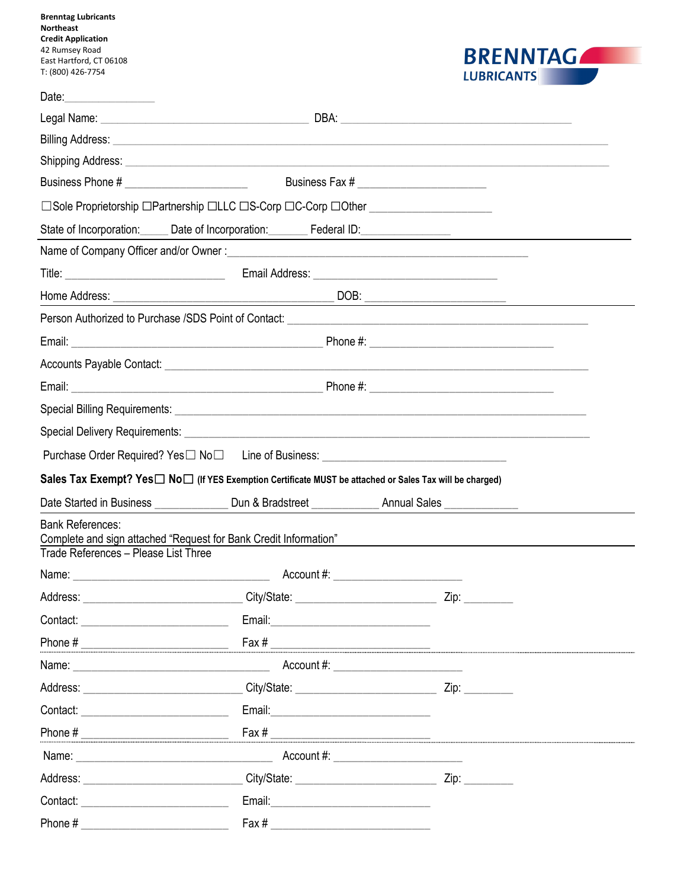| <b>Brenntag Lubricants</b><br><b>Northeast</b><br><b>Credit Application</b><br>42 Rumsey Road<br>East Hartford, CT 06108                                                                                                      |                                                                                                                                                                                                                                     |                                               | <b>BRENNTAGALL</b>                                                                                |
|-------------------------------------------------------------------------------------------------------------------------------------------------------------------------------------------------------------------------------|-------------------------------------------------------------------------------------------------------------------------------------------------------------------------------------------------------------------------------------|-----------------------------------------------|---------------------------------------------------------------------------------------------------|
| T: (800) 426-7754                                                                                                                                                                                                             |                                                                                                                                                                                                                                     |                                               | <b>LUBRICANTS</b>                                                                                 |
|                                                                                                                                                                                                                               |                                                                                                                                                                                                                                     |                                               |                                                                                                   |
|                                                                                                                                                                                                                               |                                                                                                                                                                                                                                     |                                               |                                                                                                   |
|                                                                                                                                                                                                                               |                                                                                                                                                                                                                                     |                                               |                                                                                                   |
|                                                                                                                                                                                                                               | Shipping Address: Note that the contract of the contract of the contract of the contract of the contract of the contract of the contract of the contract of the contract of the contract of the contract of the contract of th      |                                               |                                                                                                   |
|                                                                                                                                                                                                                               |                                                                                                                                                                                                                                     |                                               |                                                                                                   |
|                                                                                                                                                                                                                               | □Sole Proprietorship □Partnership □LLC □S-Corp □C-Corp □Other __________________                                                                                                                                                    |                                               |                                                                                                   |
|                                                                                                                                                                                                                               |                                                                                                                                                                                                                                     |                                               | State of Incorporation: Date of Incorporation: Federal ID: Federal ID: Property of Incorporation: |
|                                                                                                                                                                                                                               |                                                                                                                                                                                                                                     |                                               |                                                                                                   |
|                                                                                                                                                                                                                               |                                                                                                                                                                                                                                     |                                               |                                                                                                   |
|                                                                                                                                                                                                                               |                                                                                                                                                                                                                                     |                                               |                                                                                                   |
|                                                                                                                                                                                                                               |                                                                                                                                                                                                                                     |                                               |                                                                                                   |
|                                                                                                                                                                                                                               |                                                                                                                                                                                                                                     |                                               |                                                                                                   |
|                                                                                                                                                                                                                               |                                                                                                                                                                                                                                     |                                               |                                                                                                   |
|                                                                                                                                                                                                                               |                                                                                                                                                                                                                                     |                                               |                                                                                                   |
|                                                                                                                                                                                                                               |                                                                                                                                                                                                                                     |                                               |                                                                                                   |
|                                                                                                                                                                                                                               |                                                                                                                                                                                                                                     |                                               |                                                                                                   |
|                                                                                                                                                                                                                               | Purchase Order Required? Yes□ No□ Line of Business: ____________________________                                                                                                                                                    |                                               |                                                                                                   |
|                                                                                                                                                                                                                               | Sales Tax Exempt? Yes $\Box$ No $\Box$ (If YES Exemption Certificate MUST be attached or Sales Tax will be charged)                                                                                                                 |                                               |                                                                                                   |
| Date Started in Business                                                                                                                                                                                                      | Dun & Bradstreet                                                                                                                                                                                                                    | <b>Annual Sales</b>                           |                                                                                                   |
| <b>Bank References:</b><br>Trade References - Please List Three                                                                                                                                                               | Complete and sign attached "Request for Bank Credit Information"                                                                                                                                                                    |                                               | <u> 1980 - Jan Samuel Barbara, margaret eta idazlea (h. 1980).</u>                                |
|                                                                                                                                                                                                                               | Name: <u>Name:</u> Name: Name: Name: Name: Name: Name: Name: Name: Name: Name: Name: Name: Name: Name: Name: Name: Name: Name: Name: Name: Name: Name: Name: Name: Name: Name: Name: Name: Name: Name: Name: Name: Name: Name: Name |                                               |                                                                                                   |
|                                                                                                                                                                                                                               | Address: ______________________________City/State: ______________________________Zip: ______________                                                                                                                                |                                               |                                                                                                   |
|                                                                                                                                                                                                                               |                                                                                                                                                                                                                                     |                                               |                                                                                                   |
|                                                                                                                                                                                                                               |                                                                                                                                                                                                                                     | $\frac{Fax \#$                                |                                                                                                   |
| Name: 2008 - 2008 - 2008 - 2008 - 2010 - 2010 - 2010 - 2011 - 2012 - 2012 - 2013 - 2014 - 2014 - 2014 - 2014 -                                                                                                                |                                                                                                                                                                                                                                     | Account #: _________________________          |                                                                                                   |
|                                                                                                                                                                                                                               |                                                                                                                                                                                                                                     |                                               |                                                                                                   |
| Contact: Contact:                                                                                                                                                                                                             | Email: 2008. 2009. 2010. 2010. 2010. 2010. 2010. 2010. 2010. 2011. 2012. 2012. 2014. 2016. 2017. 2017. 2017. 20                                                                                                                     |                                               |                                                                                                   |
|                                                                                                                                                                                                                               |                                                                                                                                                                                                                                     |                                               |                                                                                                   |
| Name: Name: Name: Name: Name: Name: Name: Name: Name: Name: Name: Name: Name: Name: Name: Name: Name: Name: Name: Name: Name: Name: Name: Name: Name: Name: Name: Name: Name: Name: Name: Name: Name: Name: Name: Name: Name: |                                                                                                                                                                                                                                     | Account #: __________________________         |                                                                                                   |
|                                                                                                                                                                                                                               | Address: ________________________________City/State: ___________________________                                                                                                                                                    |                                               | Zip:                                                                                              |
| Contact:                                                                                                                                                                                                                      |                                                                                                                                                                                                                                     | Email: <u>_______________________________</u> |                                                                                                   |
|                                                                                                                                                                                                                               |                                                                                                                                                                                                                                     | Fax $\#$                                      |                                                                                                   |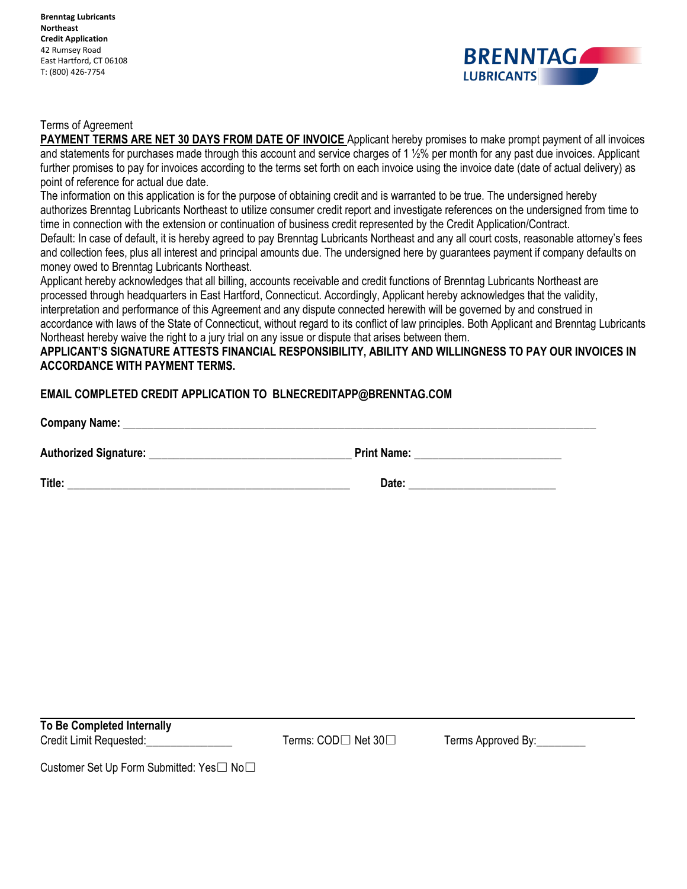**Brenntag Lubricants Northeast Credit Application** 42 Rumsey Road East Hartford, CT 06108 T: (800) 426-7754



## Terms of Agreement

**PAYMENT TERMS ARE NET 30 DAYS FROM DATE OF INVOICE** Applicant hereby promises to make prompt payment of all invoices and statements for purchases made through this account and service charges of 1 ½% per month for any past due invoices. Applicant further promises to pay for invoices according to the terms set forth on each invoice using the invoice date (date of actual delivery) as point of reference for actual due date.

The information on this application is for the purpose of obtaining credit and is warranted to be true. The undersigned hereby authorizes Brenntag Lubricants Northeast to utilize consumer credit report and investigate references on the undersigned from time to time in connection with the extension or continuation of business credit represented by the Credit Application/Contract.

Default: In case of default, it is hereby agreed to pay Brenntag Lubricants Northeast and any all court costs, reasonable attorney's fees and collection fees, plus all interest and principal amounts due. The undersigned here by guarantees payment if company defaults on money owed to Brenntag Lubricants Northeast.

Applicant hereby acknowledges that all billing, accounts receivable and credit functions of Brenntag Lubricants Northeast are processed through headquarters in East Hartford, Connecticut. Accordingly, Applicant hereby acknowledges that the validity, interpretation and performance of this Agreement and any dispute connected herewith will be governed by and construed in accordance with laws of the State of Connecticut, without regard to its conflict of law principles. Both Applicant and Brenntag Lubricants Northeast hereby waive the right to a jury trial on any issue or dispute that arises between them.

## **APPLICANT'S SIGNATURE ATTESTS FINANCIAL RESPONSIBILITY, ABILITY AND WILLINGNESS TO PAY OUR INVOICES IN ACCORDANCE WITH PAYMENT TERMS.**

## **EMAIL COMPLETED CREDIT APPLICATION TO BLNECREDITAPP@BRENNTAG.COM**

**Company Name:**  $\blacksquare$ **Authorized Signature:** \_\_\_\_\_\_\_\_\_\_\_\_\_\_\_\_\_\_\_\_\_\_\_\_\_\_\_\_\_\_\_\_\_ **Print Name:** \_\_\_\_\_\_\_\_\_\_\_\_\_\_\_\_\_\_\_\_\_\_\_\_

**Title:** \_\_\_\_\_\_\_\_\_\_\_\_\_\_\_\_\_\_\_\_\_\_\_\_\_\_\_\_\_\_\_\_\_\_\_\_\_\_\_\_\_\_\_\_\_\_ **Date:** \_\_\_\_\_\_\_\_\_\_\_\_\_\_\_\_\_\_\_\_\_\_\_\_

**To Be Completed Internally** Credit Limit Requested: Terms: COD□ Net 30□ Terms Approved By:

Customer Set Up Form Submitted: Yes□ No□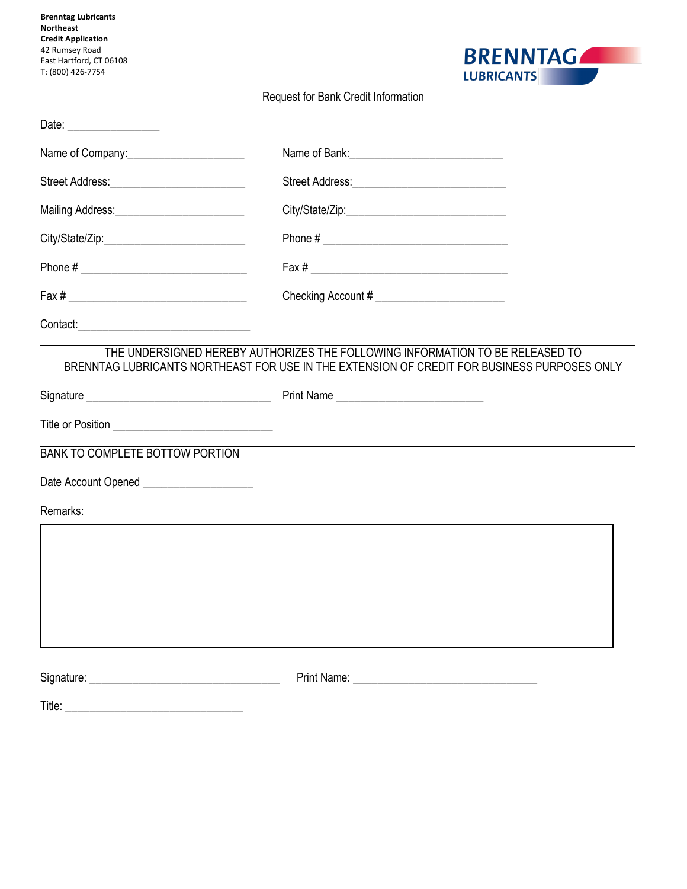| <b>Brenntag Lubricants</b><br>Northeast<br><b>Credit Application</b><br>42 Rumsey Road<br>East Hartford, CT 06108<br>T: (800) 426-7754 | <b>BRENNTAGALL</b><br><b>LUBRICANTS</b> |
|----------------------------------------------------------------------------------------------------------------------------------------|-----------------------------------------|
|                                                                                                                                        | Request for Bank Credit Information     |
|                                                                                                                                        |                                         |
| Name of Company: Name of Company:                                                                                                      |                                         |
|                                                                                                                                        |                                         |
|                                                                                                                                        |                                         |
|                                                                                                                                        |                                         |
|                                                                                                                                        |                                         |
|                                                                                                                                        |                                         |
|                                                                                                                                        |                                         |
| <b>BANK TO COMPLETE BOTTOW PORTION</b>                                                                                                 |                                         |
| Date Account Opened <b>Date Account</b>                                                                                                |                                         |
| Remarks:                                                                                                                               |                                         |
|                                                                                                                                        |                                         |
|                                                                                                                                        |                                         |
|                                                                                                                                        |                                         |